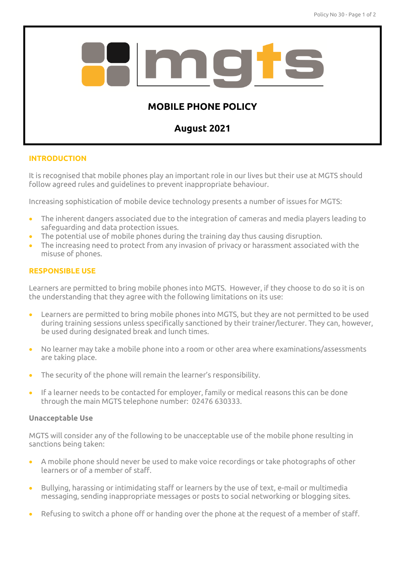

# **INTRODUCTION**

It is recognised that mobile phones play an important role in our lives but their use at MGTS should follow agreed rules and guidelines to prevent inappropriate behaviour.

Increasing sophistication of mobile device technology presents a number of issues for MGTS:

- The inherent dangers associated due to the integration of cameras and media players leading to safeguarding and data protection issues.
- The potential use of mobile phones during the training day thus causing disruption.
- The increasing need to protect from any invasion of privacy or harassment associated with the misuse of phones.

# **RESPONSIBLE USE**

Learners are permitted to bring mobile phones into MGTS. However, if they choose to do so it is on the understanding that they agree with the following limitations on its use:

- Learners are permitted to bring mobile phones into MGTS, but they are not permitted to be used during training sessions unless specifically sanctioned by their trainer/lecturer. They can, however, be used during designated break and lunch times.
- No learner may take a mobile phone into a room or other area where examinations/assessments are taking place.
- The security of the phone will remain the learner's responsibility.
- If a learner needs to be contacted for employer, family or medical reasons this can be done through the main MGTS telephone number: 02476 630333.

## **Unacceptable Use**

MGTS will consider any of the following to be unacceptable use of the mobile phone resulting in sanctions being taken:

- A mobile phone should never be used to make voice recordings or take photographs of other learners or of a member of staff.
- Bullying, harassing or intimidating staff or learners by the use of text, e-mail or multimedia messaging, sending inappropriate messages or posts to social networking or blogging sites.
- Refusing to switch a phone off or handing over the phone at the request of a member of staff.